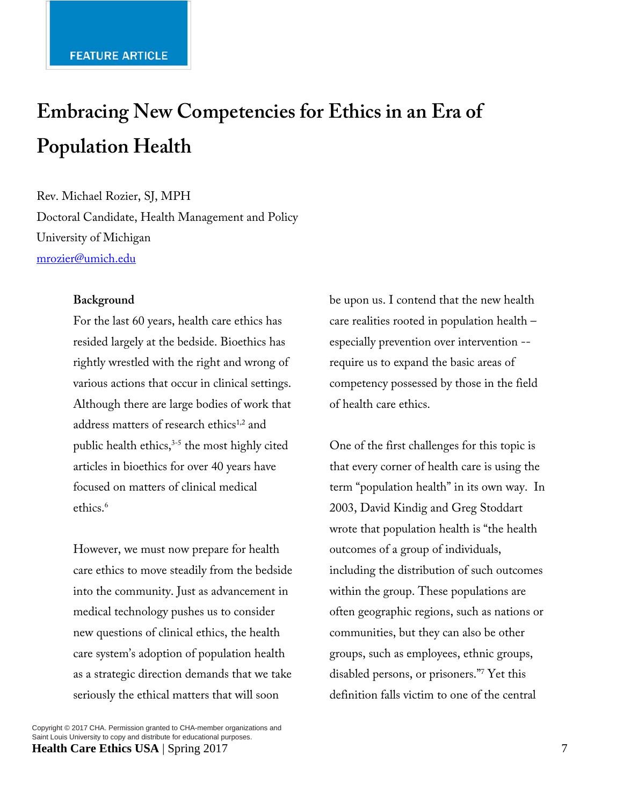# **Embracing New Competencies for Ethics in an Era of Population Health**

Rev. Michael Rozier, SJ, MPH Doctoral Candidate, Health Management and Policy University of Michigan mrozier@umich.edu

#### **Background**

For the last 60 years, health care ethics has resided largely at the bedside. Bioethics has rightly wrestled with the right and wrong of various actions that occur in clinical settings. Although there are large bodies of work that address matters of research ethics<sup>1,2</sup> and public health ethics, $3-5$  the most highly cited articles in bioethics for over 40 years have focused on matters of clinical medical ethics.<sup>6</sup>

However, we must now prepare for health care ethics to move steadily from the bedside into the community. Just as advancement in medical technology pushes us to consider new questions of clinical ethics, the health care system's adoption of population health as a strategic direction demands that we take seriously the ethical matters that will soon

Copyright © 2017 CHA. Permission granted to CHA-member organizations and Saint Louis University to copy and distribute for educational purposes. **Health Care Ethics USA** | Spring 2017 7

be upon us. I contend that the new health care realities rooted in population health – especially prevention over intervention - require us to expand the basic areas of competency possessed by those in the field of health care ethics.

One of the first challenges for this topic is that every corner of health care is using the term "population health" in its own way. In 2003, David Kindig and Greg Stoddart wrote that population health is "the health outcomes of a group of individuals, including the distribution of such outcomes within the group. These populations are often geographic regions, such as nations or communities, but they can also be other groups, such as employees, ethnic groups, disabled persons, or prisoners."7 Yet this definition falls victim to one of the central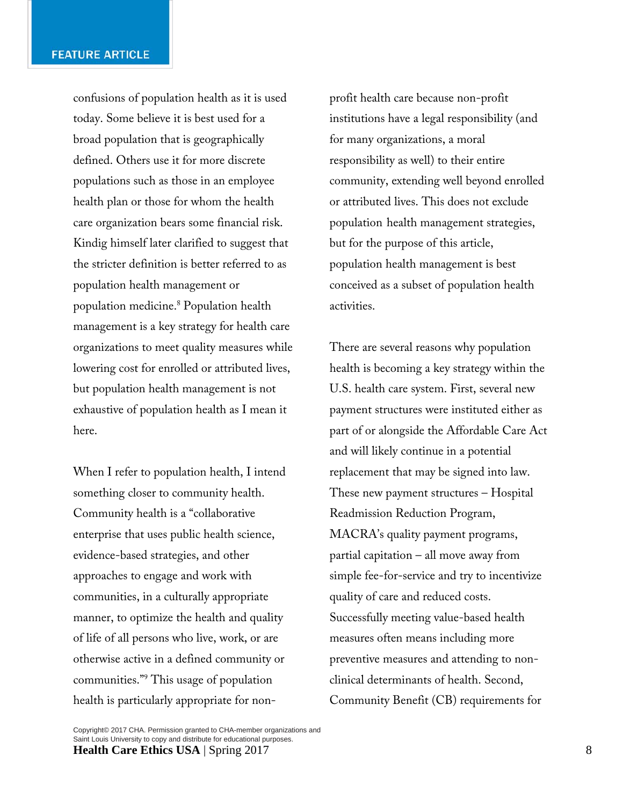confusions of population health as it is used today. Some believe it is best used for a broad population that is geographically defined. Others use it for more discrete populations such as those in an employee health plan or those for whom the health care organization bears some financial risk. Kindig himself later clarified to suggest that the stricter definition is better referred to as population health management or population medicine.8 Population health management is a key strategy for health care organizations to meet quality measures while lowering cost for enrolled or attributed lives, but population health management is not exhaustive of population health as I mean it here.

When I refer to population health, I intend something closer to community health. Community health is a "collaborative enterprise that uses public health science, evidence-based strategies, and other approaches to engage and work with communities, in a culturally appropriate manner, to optimize the health and quality of life of all persons who live, work, or are otherwise active in a defined community or communities."9 This usage of population health is particularly appropriate for nonprofit health care because non-profit institutions have a legal responsibility (and for many organizations, a moral responsibility as well) to their entire community, extending well beyond enrolled or attributed lives. This does not exclude population health management strategies, but for the purpose of this article, population health management is best conceived as a subset of population health activities.

There are several reasons why population health is becoming a key strategy within the U.S. health care system. First, several new payment structures were instituted either as part of or alongside the Affordable Care Act and will likely continue in a potential replacement that may be signed into law. These new payment structures – Hospital Readmission Reduction Program, MACRA's quality payment programs, partial capitation – all move away from simple fee-for-service and try to incentivize quality of care and reduced costs. Successfully meeting value-based health measures often means including more preventive measures and attending to nonclinical determinants of health. Second, Community Benefit (CB) requirements for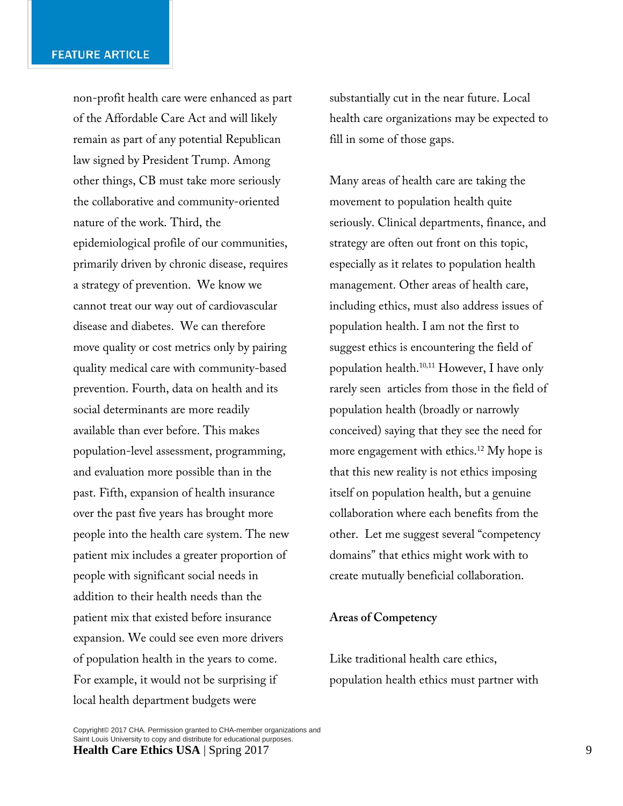non-profit health care were enhanced as part of the Affordable Care Act and will likely remain as part of any potential Republican law signed by President Trump. Among other things, CB must take more seriously the collaborative and community-oriented nature of the work. Third, the epidemiological profile of our communities, primarily driven by chronic disease, requires a strategy of prevention. We know we cannot treat our way out of cardiovascular disease and diabetes. We can therefore move quality or cost metrics only by pairing quality medical care with community-based prevention. Fourth, data on health and its social determinants are more readily available than ever before. This makes population-level assessment, programming, and evaluation more possible than in the past. Fifth, expansion of health insurance over the past five years has brought more people into the health care system. The new patient mix includes a greater proportion of people with significant social needs in addition to their health needs than the patient mix that existed before insurance expansion. We could see even more drivers of population health in the years to come. For example, it would not be surprising if local health department budgets were

substantially cut in the near future. Local health care organizations may be expected to fill in some of those gaps.

Many areas of health care are taking the movement to population health quite seriously. Clinical departments, finance, and strategy are often out front on this topic, especially as it relates to population health management. Other areas of health care, including ethics, must also address issues of population health. I am not the first to suggest ethics is encountering the field of population health.10,11 However, I have only rarely seen articles from those in the field of population health (broadly or narrowly conceived) saying that they see the need for more engagement with ethics.<sup>12</sup> My hope is that this new reality is not ethics imposing itself on population health, but a genuine collaboration where each benefits from the other. Let me suggest several "competency domains" that ethics might work with to create mutually beneficial collaboration.

## **Areas of Competency**

Like traditional health care ethics, population health ethics must partner with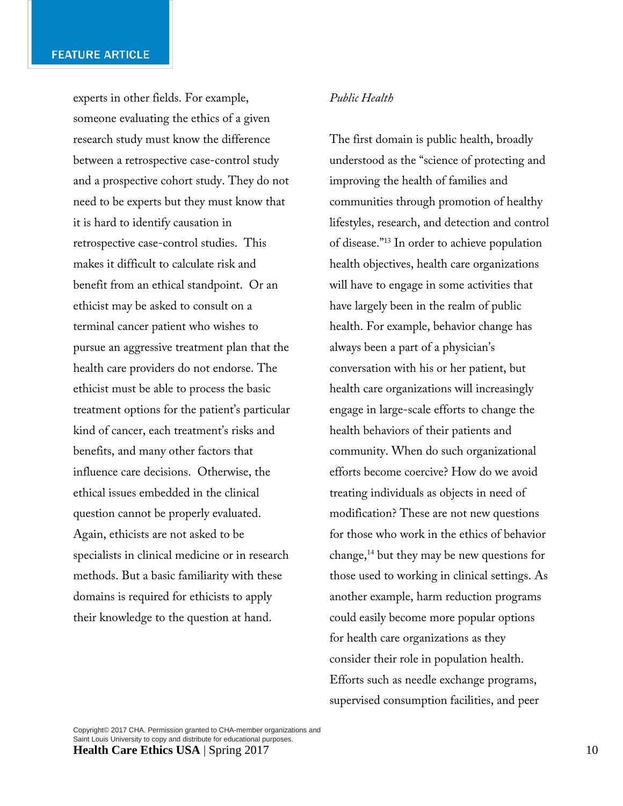experts in other fields. For example, someone evaluating the ethics of a given research study must know the difference between a retrospective case-control study and a prospective cohort study. They do not need to be experts but they must know that it is hard to identify causation in retrospective case-control studies. This makes it difficult to calculate risk and benefit from an ethical standpoint. Or an ethicist may be asked to consult on a terminal cancer patient who wishes to pursue an aggressive treatment plan that the health care providers do not endorse. The ethicist must be able to process the basic treatment options for the patient's particular kind of cancer, each treatment's risks and benefits, and many other factors that influence care decisions. Otherwise, the ethical issues embedded in the clinical question cannot be properly evaluated. Again, ethicists are not asked to be specialists in clinical medicine or in research methods. But a basic familiarity with these domains is required for ethicists to apply their knowledge to the question at hand.

## *Public Health*

The first domain is public health, broadly understood as the "science of protecting and improving the health of families and communities through promotion of healthy lifestyles, research, and detection and control of disease."13 In order to achieve population health objectives, health care organizations will have to engage in some activities that have largely been in the realm of public health. For example, behavior change has always been a part of a physician's conversation with his or her patient, but health care organizations will increasingly engage in large-scale efforts to change the health behaviors of their patients and community. When do such organizational efforts become coercive? How do we avoid treating individuals as objects in need of modification? These are not new questions for those who work in the ethics of behavior change,<sup>14</sup> but they may be new questions for those used to working in clinical settings. As another example, harm reduction programs could easily become more popular options for health care organizations as they consider their role in population health. Efforts such as needle exchange programs, supervised consumption facilities, and peer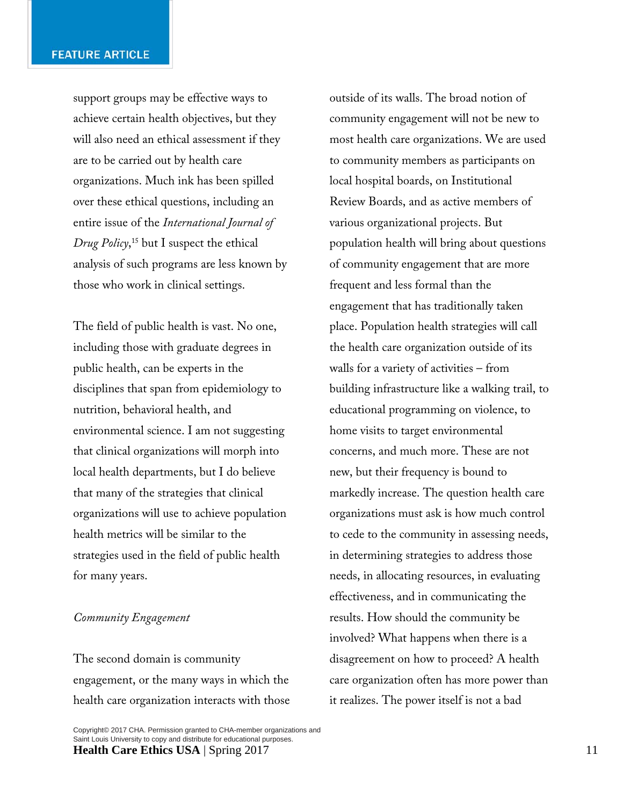support groups may be effective ways to achieve certain health objectives, but they will also need an ethical assessment if they are to be carried out by health care organizations. Much ink has been spilled over these ethical questions, including an entire issue of the *International Journal of Drug Policy*, 15 but I suspect the ethical analysis of such programs are less known by those who work in clinical settings.

The field of public health is vast. No one, including those with graduate degrees in public health, can be experts in the disciplines that span from epidemiology to nutrition, behavioral health, and environmental science. I am not suggesting that clinical organizations will morph into local health departments, but I do believe that many of the strategies that clinical organizations will use to achieve population health metrics will be similar to the strategies used in the field of public health for many years.

### *Community Engagement*

The second domain is community engagement, or the many ways in which the health care organization interacts with those outside of its walls. The broad notion of community engagement will not be new to most health care organizations. We are used to community members as participants on local hospital boards, on Institutional Review Boards, and as active members of various organizational projects. But population health will bring about questions of community engagement that are more frequent and less formal than the engagement that has traditionally taken place. Population health strategies will call the health care organization outside of its walls for a variety of activities – from building infrastructure like a walking trail, to educational programming on violence, to home visits to target environmental concerns, and much more. These are not new, but their frequency is bound to markedly increase. The question health care organizations must ask is how much control to cede to the community in assessing needs, in determining strategies to address those needs, in allocating resources, in evaluating effectiveness, and in communicating the results. How should the community be involved? What happens when there is a disagreement on how to proceed? A health care organization often has more power than it realizes. The power itself is not a bad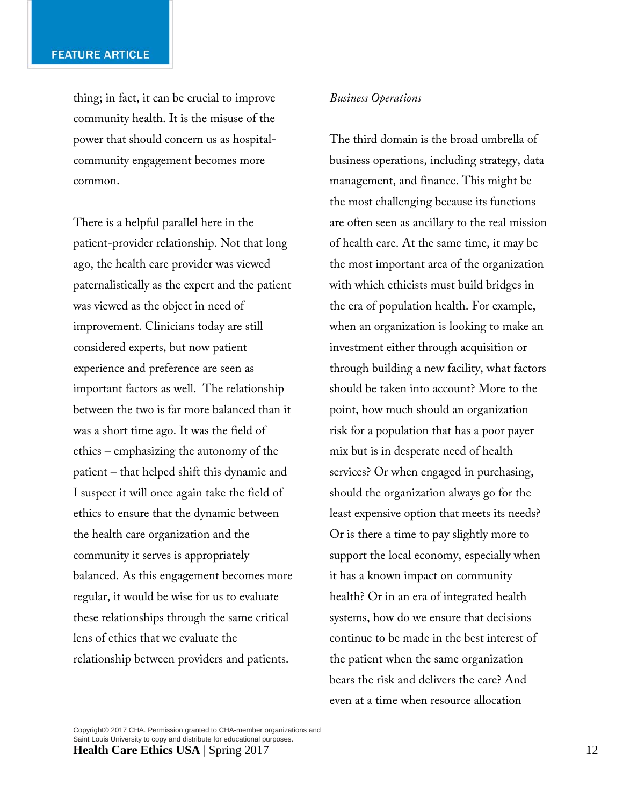thing; in fact, it can be crucial to improve community health. It is the misuse of the power that should concern us as hospitalcommunity engagement becomes more common.

There is a helpful parallel here in the patient-provider relationship. Not that long ago, the health care provider was viewed paternalistically as the expert and the patient was viewed as the object in need of improvement. Clinicians today are still considered experts, but now patient experience and preference are seen as important factors as well. The relationship between the two is far more balanced than it was a short time ago. It was the field of ethics – emphasizing the autonomy of the patient – that helped shift this dynamic and I suspect it will once again take the field of ethics to ensure that the dynamic between the health care organization and the community it serves is appropriately balanced. As this engagement becomes more regular, it would be wise for us to evaluate these relationships through the same critical lens of ethics that we evaluate the relationship between providers and patients.

#### *Business Operations*

The third domain is the broad umbrella of business operations, including strategy, data management, and finance. This might be the most challenging because its functions are often seen as ancillary to the real mission of health care. At the same time, it may be the most important area of the organization with which ethicists must build bridges in the era of population health. For example, when an organization is looking to make an investment either through acquisition or through building a new facility, what factors should be taken into account? More to the point, how much should an organization risk for a population that has a poor payer mix but is in desperate need of health services? Or when engaged in purchasing, should the organization always go for the least expensive option that meets its needs? Or is there a time to pay slightly more to support the local economy, especially when it has a known impact on community health? Or in an era of integrated health systems, how do we ensure that decisions continue to be made in the best interest of the patient when the same organization bears the risk and delivers the care? And even at a time when resource allocation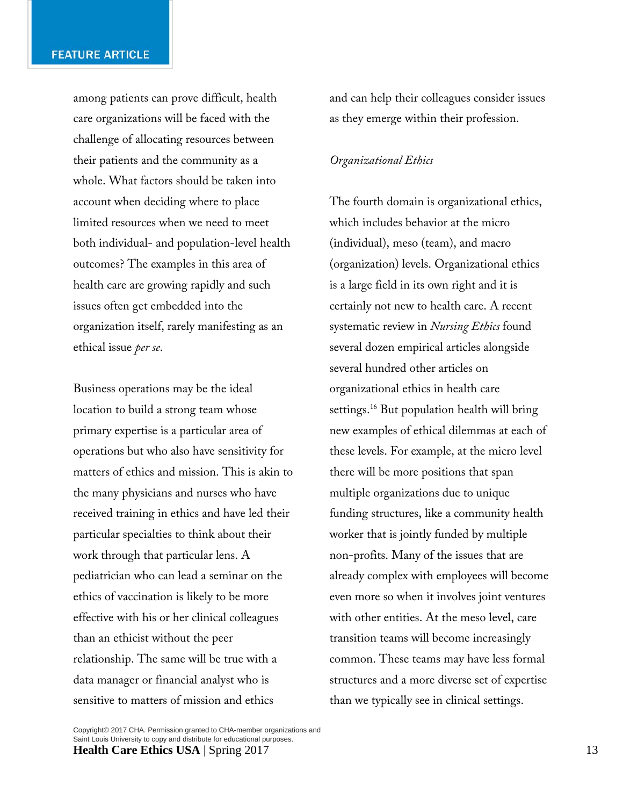among patients can prove difficult, health care organizations will be faced with the challenge of allocating resources between their patients and the community as a whole. What factors should be taken into account when deciding where to place limited resources when we need to meet both individual- and population-level health outcomes? The examples in this area of health care are growing rapidly and such issues often get embedded into the organization itself, rarely manifesting as an ethical issue *per se*.

Business operations may be the ideal location to build a strong team whose primary expertise is a particular area of operations but who also have sensitivity for matters of ethics and mission. This is akin to the many physicians and nurses who have received training in ethics and have led their particular specialties to think about their work through that particular lens. A pediatrician who can lead a seminar on the ethics of vaccination is likely to be more effective with his or her clinical colleagues than an ethicist without the peer relationship. The same will be true with a data manager or financial analyst who is sensitive to matters of mission and ethics

and can help their colleagues consider issues as they emerge within their profession.

#### *Organizational Ethics*

The fourth domain is organizational ethics, which includes behavior at the micro (individual), meso (team), and macro (organization) levels. Organizational ethics is a large field in its own right and it is certainly not new to health care. A recent systematic review in *Nursing Ethics* found several dozen empirical articles alongside several hundred other articles on organizational ethics in health care settings.<sup>16</sup> But population health will bring new examples of ethical dilemmas at each of these levels. For example, at the micro level there will be more positions that span multiple organizations due to unique funding structures, like a community health worker that is jointly funded by multiple non-profits. Many of the issues that are already complex with employees will become even more so when it involves joint ventures with other entities. At the meso level, care transition teams will become increasingly common. These teams may have less formal structures and a more diverse set of expertise than we typically see in clinical settings.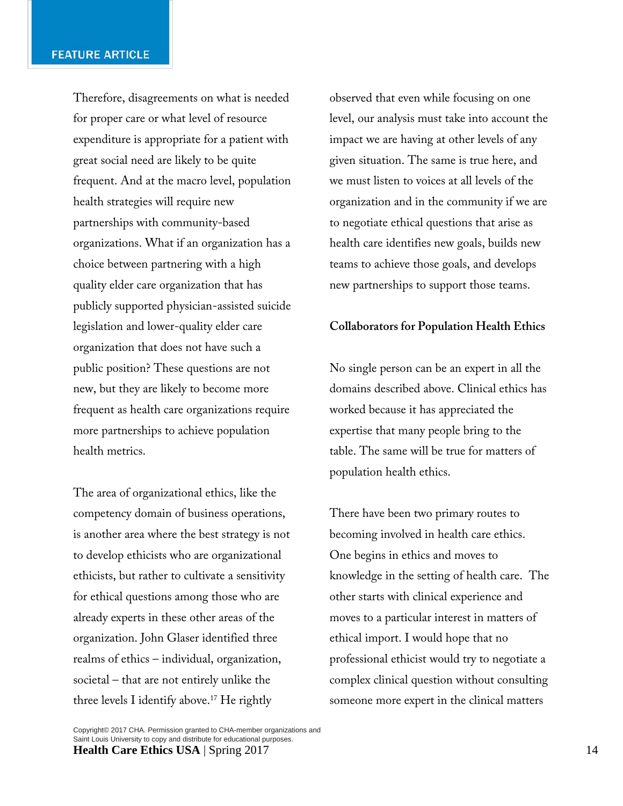Therefore, disagreements on what is needed for proper care or what level of resource expenditure is appropriate for a patient with great social need are likely to be quite frequent. And at the macro level, population health strategies will require new partnerships with community-based organizations. What if an organization has a choice between partnering with a high quality elder care organization that has publicly supported physician-assisted suicide legislation and lower-quality elder care organization that does not have such a public position? These questions are not new, but they are likely to become more frequent as health care organizations require more partnerships to achieve population health metrics.

The area of organizational ethics, like the competency domain of business operations, is another area where the best strategy is not to develop ethicists who are organizational ethicists, but rather to cultivate a sensitivity for ethical questions among those who are already experts in these other areas of the organization. John Glaser identified three realms of ethics – individual, organization, societal – that are not entirely unlike the three levels I identify above.17 He rightly

observed that even while focusing on one level, our analysis must take into account the impact we are having at other levels of any given situation. The same is true here, and we must listen to voices at all levels of the organization and in the community if we are to negotiate ethical questions that arise as health care identifies new goals, builds new teams to achieve those goals, and develops new partnerships to support those teams.

## **Collaborators for Population Health Ethics**

No single person can be an expert in all the domains described above. Clinical ethics has worked because it has appreciated the expertise that many people bring to the table. The same will be true for matters of population health ethics.

There have been two primary routes to becoming involved in health care ethics. One begins in ethics and moves to knowledge in the setting of health care. The other starts with clinical experience and moves to a particular interest in matters of ethical import. I would hope that no professional ethicist would try to negotiate a complex clinical question without consulting someone more expert in the clinical matters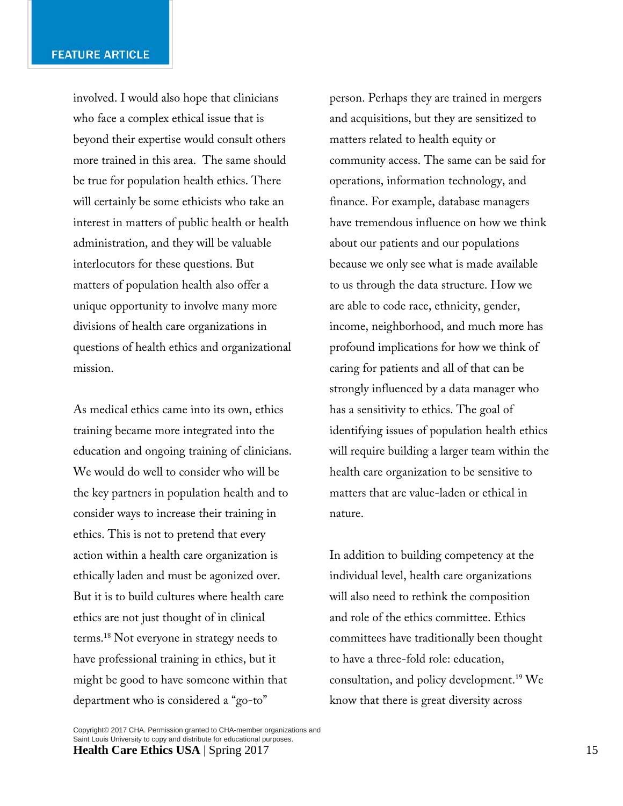involved. I would also hope that clinicians who face a complex ethical issue that is beyond their expertise would consult others more trained in this area. The same should be true for population health ethics. There will certainly be some ethicists who take an interest in matters of public health or health administration, and they will be valuable interlocutors for these questions. But matters of population health also offer a unique opportunity to involve many more divisions of health care organizations in questions of health ethics and organizational mission.

As medical ethics came into its own, ethics training became more integrated into the education and ongoing training of clinicians. We would do well to consider who will be the key partners in population health and to consider ways to increase their training in ethics. This is not to pretend that every action within a health care organization is ethically laden and must be agonized over. But it is to build cultures where health care ethics are not just thought of in clinical terms.18 Not everyone in strategy needs to have professional training in ethics, but it might be good to have someone within that department who is considered a "go-to"

person. Perhaps they are trained in mergers and acquisitions, but they are sensitized to matters related to health equity or community access. The same can be said for operations, information technology, and finance. For example, database managers have tremendous influence on how we think about our patients and our populations because we only see what is made available to us through the data structure. How we are able to code race, ethnicity, gender, income, neighborhood, and much more has profound implications for how we think of caring for patients and all of that can be strongly influenced by a data manager who has a sensitivity to ethics. The goal of identifying issues of population health ethics will require building a larger team within the health care organization to be sensitive to matters that are value-laden or ethical in nature.

In addition to building competency at the individual level, health care organizations will also need to rethink the composition and role of the ethics committee. Ethics committees have traditionally been thought to have a three-fold role: education, consultation, and policy development.19 We know that there is great diversity across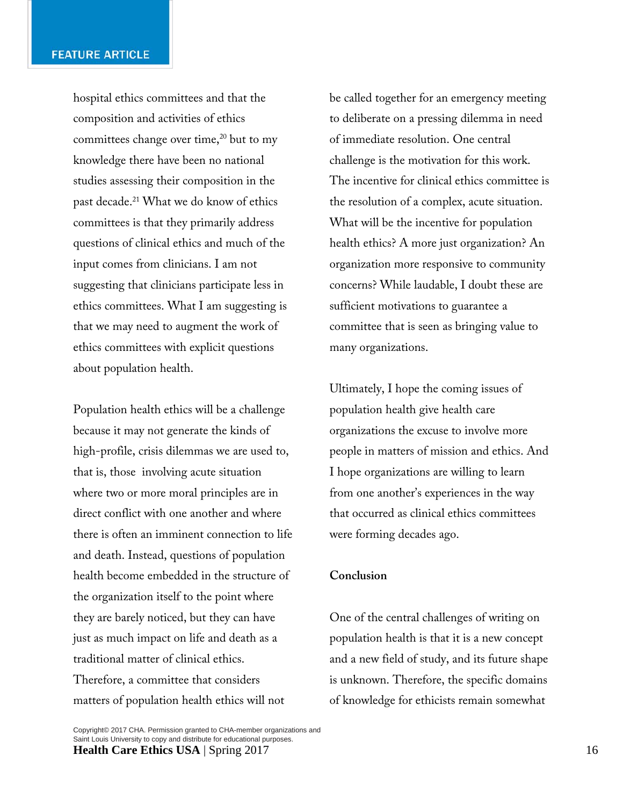hospital ethics committees and that the composition and activities of ethics committees change over time,<sup>20</sup> but to my knowledge there have been no national studies assessing their composition in the past decade.<sup>21</sup> What we do know of ethics committees is that they primarily address questions of clinical ethics and much of the input comes from clinicians. I am not suggesting that clinicians participate less in ethics committees. What I am suggesting is that we may need to augment the work of ethics committees with explicit questions about population health.

Population health ethics will be a challenge because it may not generate the kinds of high-profile, crisis dilemmas we are used to, that is, those involving acute situation where two or more moral principles are in direct conflict with one another and where there is often an imminent connection to life and death. Instead, questions of population health become embedded in the structure of the organization itself to the point where they are barely noticed, but they can have just as much impact on life and death as a traditional matter of clinical ethics. Therefore, a committee that considers

be called together for an emergency meeting to deliberate on a pressing dilemma in need of immediate resolution. One central challenge is the motivation for this work. The incentive for clinical ethics committee is the resolution of a complex, acute situation. What will be the incentive for population health ethics? A more just organization? An organization more responsive to community concerns? While laudable, I doubt these are sufficient motivations to guarantee a committee that is seen as bringing value to many organizations.

Ultimately, I hope the coming issues of population health give health care organizations the excuse to involve more people in matters of mission and ethics. And I hope organizations are willing to learn from one another's experiences in the way that occurred as clinical ethics committees were forming decades ago.

## **Conclusion**

One of the central challenges of writing on population health is that it is a new concept and a new field of study, and its future shape is unknown. Therefore, the specific domains of knowledge for ethicists remain somewhat

matters of population health ethics will not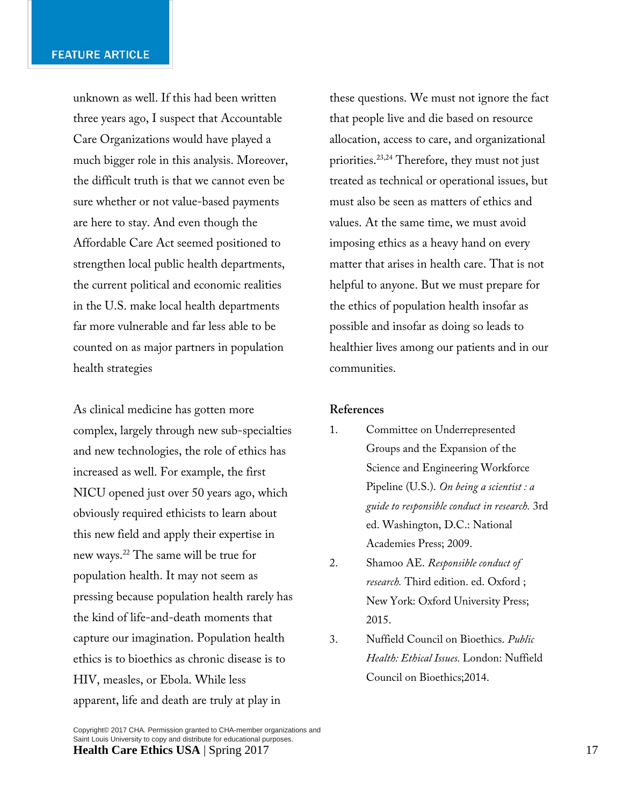unknown as well. If this had been written three years ago, I suspect that Accountable Care Organizations would have played a much bigger role in this analysis. Moreover, the difficult truth is that we cannot even be sure whether or not value-based payments are here to stay. And even though the Affordable Care Act seemed positioned to strengthen local public health departments, the current political and economic realities in the U.S. make local health departments far more vulnerable and far less able to be counted on as major partners in population health strategies

As clinical medicine has gotten more complex, largely through new sub-specialties and new technologies, the role of ethics has increased as well. For example, the first NICU opened just over 50 years ago, which obviously required ethicists to learn about this new field and apply their expertise in new ways.22 The same will be true for population health. It may not seem as pressing because population health rarely has the kind of life-and-death moments that capture our imagination. Population health ethics is to bioethics as chronic disease is to HIV, measles, or Ebola. While less apparent, life and death are truly at play in

these questions. We must not ignore the fact that people live and die based on resource allocation, access to care, and organizational priorities.23,24 Therefore, they must not just treated as technical or operational issues, but must also be seen as matters of ethics and values. At the same time, we must avoid imposing ethics as a heavy hand on every matter that arises in health care. That is not helpful to anyone. But we must prepare for the ethics of population health insofar as possible and insofar as doing so leads to healthier lives among our patients and in our communities.

## **References**

- 1. Committee on Underrepresented Groups and the Expansion of the Science and Engineering Workforce Pipeline (U.S.). *On being a scientist : a guide to responsible conduct in research.* 3rd ed. Washington, D.C.: National Academies Press; 2009.
- 2. Shamoo AE. *Responsible conduct of research.* Third edition. ed. Oxford ; New York: Oxford University Press; 2015.
- 3. Nuffield Council on Bioethics. *Public Health: Ethical Issues.* London: Nuffield Council on Bioethics;2014.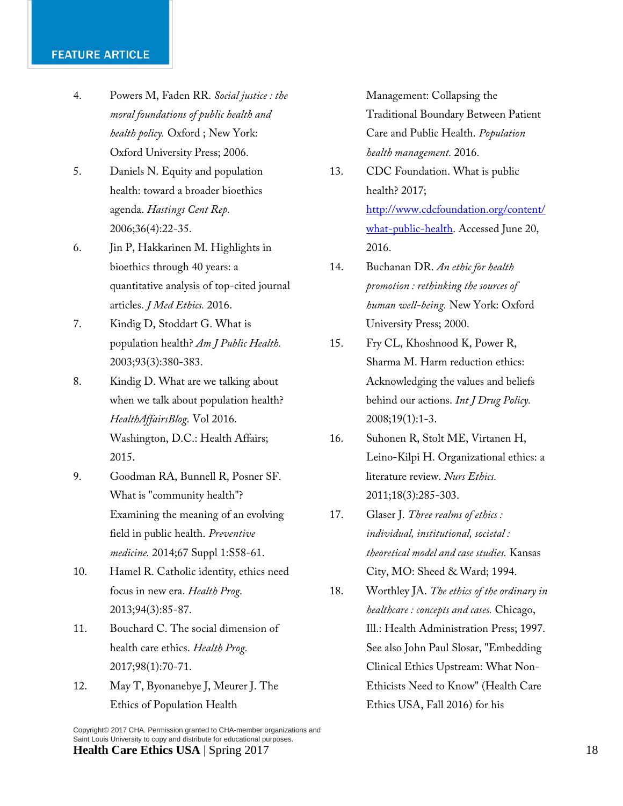## **FEATURE ARTICLE**

- 4. Powers M, Faden RR. *Social justice : the moral foundations of public health and health policy.* Oxford ; New York: Oxford University Press; 2006.
- 5. Daniels N. Equity and population health: toward a broader bioethics agenda. *Hastings Cent Rep.*  2006;36(4):22-35.
- 6. Jin P, Hakkarinen M. Highlights in bioethics through 40 years: a quantitative analysis of top-cited journal articles. *J Med Ethics.* 2016.
- 7. Kindig D, Stoddart G. What is population health? *Am J Public Health.*  2003;93(3):380-383.
- 8. Kindig D. What are we talking about when we talk about population health? *HealthAffairsBlog.* Vol 2016. Washington, D.C.: Health Affairs; 2015.
- 9. Goodman RA, Bunnell R, Posner SF. What is "community health"? Examining the meaning of an evolving field in public health. *Preventive medicine.* 2014;67 Suppl 1:S58-61.
- 10. Hamel R. Catholic identity, ethics need focus in new era. *Health Prog.*  2013;94(3):85-87.
- 11. Bouchard C. The social dimension of health care ethics. *Health Prog.*  2017;98(1):70-71.
- 12. May T, Byonanebye J, Meurer J. The Ethics of Population Health
- 13. CDC Foundation. What is public health? 2017; http://www.cdcfoundation.org/content/ what-public-health. Accessed June 20, 2016.
- 14. Buchanan DR. *An ethic for health promotion : rethinking the sources of human well-being.* New York: Oxford University Press; 2000.
- 15. Fry CL, Khoshnood K, Power R, Sharma M. Harm reduction ethics: Acknowledging the values and beliefs behind our actions. *Int J Drug Policy.*  2008;19(1):1-3.
- 16. Suhonen R, Stolt ME, Virtanen H, Leino-Kilpi H. Organizational ethics: a literature review. *Nurs Ethics.*  2011;18(3):285-303.
- 17. Glaser J. *Three realms of ethics : individual, institutional, societal : theoretical model and case studies.* Kansas City, MO: Sheed & Ward; 1994.
- 18. Worthley JA. *The ethics of the ordinary in healthcare : concepts and cases.* Chicago, Ill.: Health Administration Press; 1997. See also John Paul Slosar, "Embedding Clinical Ethics Upstream: What Non-Ethicists Need to Know" (Health Care Ethics USA, Fall 2016) for his

Management: Collapsing the Traditional Boundary Between Patient Care and Public Health. *Population health management.* 2016.

Copyright© 2017 CHA. Permission granted to CHA-member organizations and Saint Louis University to copy and distribute for educational purposes. **Health Care Ethics USA** | Spring 2017 18